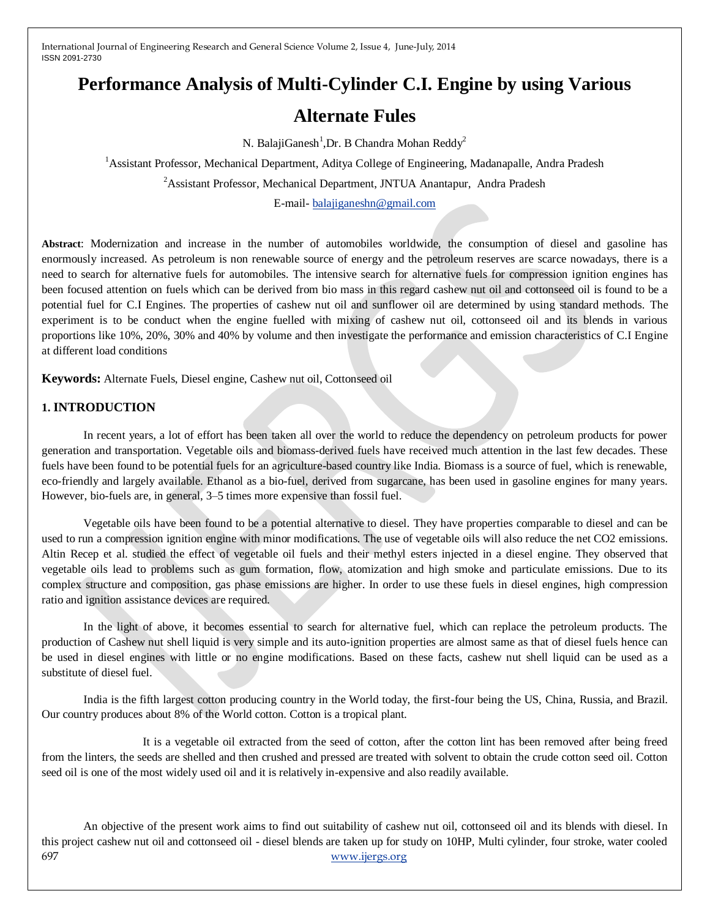# **Performance Analysis of Multi-Cylinder C.I. Engine by using Various**

# **Alternate Fules**

N. Balaji $\text{Ganesh}^1$ , Dr. B Chandra Mohan Reddy<sup>2</sup>

<sup>1</sup> Assistant Professor, Mechanical Department, Aditya College of Engineering, Madanapalle, Andra Pradesh

<sup>2</sup> Assistant Professor, Mechanical Department, JNTUA Anantapur, Andra Pradesh

E-mail- [balajiganeshn@gmail.com](mailto:balajiganeshn@gmail.com)

**Abstract**: Modernization and increase in the number of automobiles worldwide, the consumption of diesel and gasoline has enormously increased. As petroleum is non renewable source of energy and the petroleum reserves are scarce nowadays, there is a need to search for alternative fuels for automobiles. The intensive search for alternative fuels for compression ignition engines has been focused attention on fuels which can be derived from bio mass in this regard cashew nut oil and cottonseed oil is found to be a potential fuel for C.I Engines. The properties of cashew nut oil and sunflower oil are determined by using standard methods. The experiment is to be conduct when the engine fuelled with mixing of cashew nut oil, cottonseed oil and its blends in various proportions like 10%, 20%, 30% and 40% by volume and then investigate the performance and emission characteristics of C.I Engine at different load conditions

**Keywords:** Alternate Fuels, Diesel engine, Cashew nut oil, Cottonseed oil

### **1. INTRODUCTION**

In recent years, a lot of effort has been taken all over the world to reduce the dependency on petroleum products for power generation and transportation. Vegetable oils and biomass-derived fuels have received much attention in the last few decades. These fuels have been found to be potential fuels for an agriculture-based country like India. Biomass is a source of fuel, which is renewable, eco-friendly and largely available. Ethanol as a bio-fuel, derived from sugarcane, has been used in gasoline engines for many years. However, bio-fuels are, in general, 3–5 times more expensive than fossil fuel.

Vegetable oils have been found to be a potential alternative to diesel. They have properties comparable to diesel and can be used to run a compression ignition engine with minor modifications. The use of vegetable oils will also reduce the net CO2 emissions. Altin Recep et al. studied the effect of vegetable oil fuels and their methyl esters injected in a diesel engine. They observed that vegetable oils lead to problems such as gum formation, flow, atomization and high smoke and particulate emissions. Due to its complex structure and composition, gas phase emissions are higher. In order to use these fuels in diesel engines, high compression ratio and ignition assistance devices are required.

In the light of above, it becomes essential to search for alternative fuel, which can replace the petroleum products. The production of Cashew nut shell liquid is very simple and its auto-ignition properties are almost same as that of diesel fuels hence can be used in diesel engines with little or no engine modifications. Based on these facts, cashew nut shell liquid can be used as a substitute of diesel fuel.

India is the fifth largest cotton producing country in the World today, the first-four being the US, China, Russia, and Brazil. Our country produces about 8% of the World cotton. Cotton is a tropical plant.

 It is a vegetable oil extracted from the seed of cotton, after the cotton lint has been removed after being freed from the linters, the seeds are shelled and then crushed and pressed are treated with solvent to obtain the crude cotton seed oil. Cotton seed oil is one of the most widely used oil and it is relatively in-expensive and also readily available.

697 [www.ijergs.org](http://www.ijergs.org/) An objective of the present work aims to find out suitability of cashew nut oil, cottonseed oil and its blends with diesel. In this project cashew nut oil and cottonseed oil - diesel blends are taken up for study on 10HP, Multi cylinder, four stroke, water cooled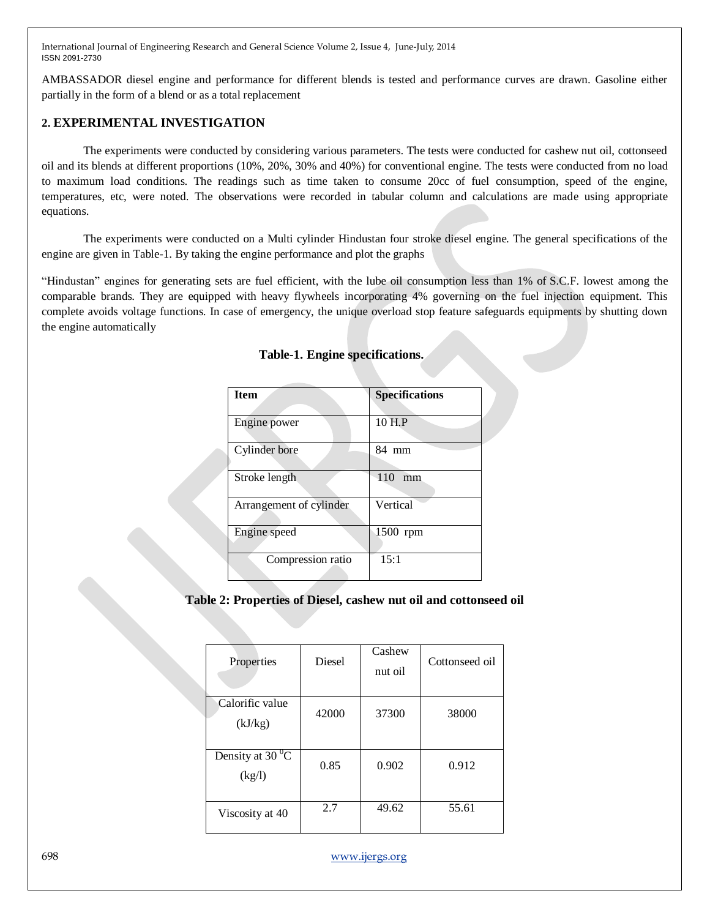AMBASSADOR diesel engine and performance for different blends is tested and performance curves are drawn. Gasoline either partially in the form of a blend or as a total replacement

### **2. EXPERIMENTAL INVESTIGATION**

The experiments were conducted by considering various parameters. The tests were conducted for cashew nut oil, cottonseed oil and its blends at different proportions (10%, 20%, 30% and 40%) for conventional engine. The tests were conducted from no load to maximum load conditions. The readings such as time taken to consume 20cc of fuel consumption, speed of the engine, temperatures, etc, were noted. The observations were recorded in tabular column and calculations are made using appropriate equations.

The experiments were conducted on a Multi cylinder Hindustan four stroke diesel engine. The general specifications of the engine are given in Table-1. By taking the engine performance and plot the graphs

"Hindustan" engines for generating sets are fuel efficient, with the lube oil consumption less than 1% of S.C.F. lowest among the comparable brands. They are equipped with heavy flywheels incorporating 4% governing on the fuel injection equipment. This complete avoids voltage functions. In case of emergency, the unique overload stop feature safeguards equipments by shutting down the engine automatically

| <b>Item</b>             | <b>Specifications</b> |
|-------------------------|-----------------------|
| Engine power            | 10 H.P                |
| Cylinder bore           | 84 mm                 |
| Stroke length           | 110<br>mm             |
| Arrangement of cylinder | Vertical              |
| Engine speed            | 1500 rpm              |
| Compression ratio       | 15:1                  |

#### **Table-1. Engine specifications.**

**Table 2: Properties of Diesel, cashew nut oil and cottonseed oil**

| Properties                               | <b>Diesel</b> | Cashew<br>nut oil | Cottonseed oil |
|------------------------------------------|---------------|-------------------|----------------|
| Calorific value<br>(kJ/kg)               | 42000         | 37300             | 38000          |
| Density at 30 $\mathrm{^{0}C}$<br>(kg/l) | 0.85          | 0.902             | 0.912          |
| Viscosity at 40                          | 2.7           | 49.62             | 55.61          |

698 [www.ijergs.org](http://www.ijergs.org/)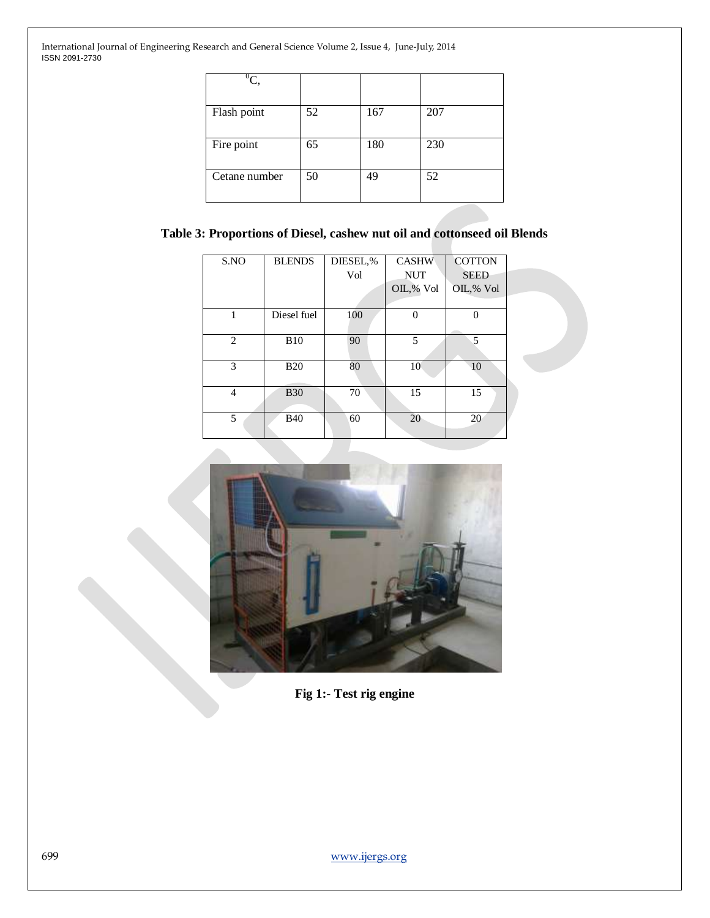| $\overline{{}^0C},$ |    |     |     |
|---------------------|----|-----|-----|
| Flash point         | 52 | 167 | 207 |
| Fire point          | 65 | 180 | 230 |
| Cetane number       | 50 | 49  | 52  |

## **Table 3: Proportions of Diesel, cashew nut oil and cottonseed oil Blends**

| S.NO           | <b>BLENDS</b> | DIESEL,% | <b>CASHW</b> | <b>COTTON</b> |
|----------------|---------------|----------|--------------|---------------|
|                |               | Vol      | <b>NUT</b>   | <b>SEED</b>   |
|                |               |          | OIL,% Vol    | OIL,% Vol     |
|                |               |          |              |               |
|                | Diesel fuel   | 100      | 0            |               |
|                |               |          |              |               |
| $\mathcal{L}$  | <b>B10</b>    | 90       | 5            | 5             |
|                |               |          |              |               |
| 3              | <b>B20</b>    | 80       | 10           | 10            |
|                |               |          |              |               |
| $\overline{4}$ | <b>B30</b>    | 70       | 15           | 15            |
|                |               |          |              |               |
| $\overline{5}$ | <b>B40</b>    | 60       | 20           | 20            |
|                |               |          |              |               |



**Fig 1:- Test rig engine**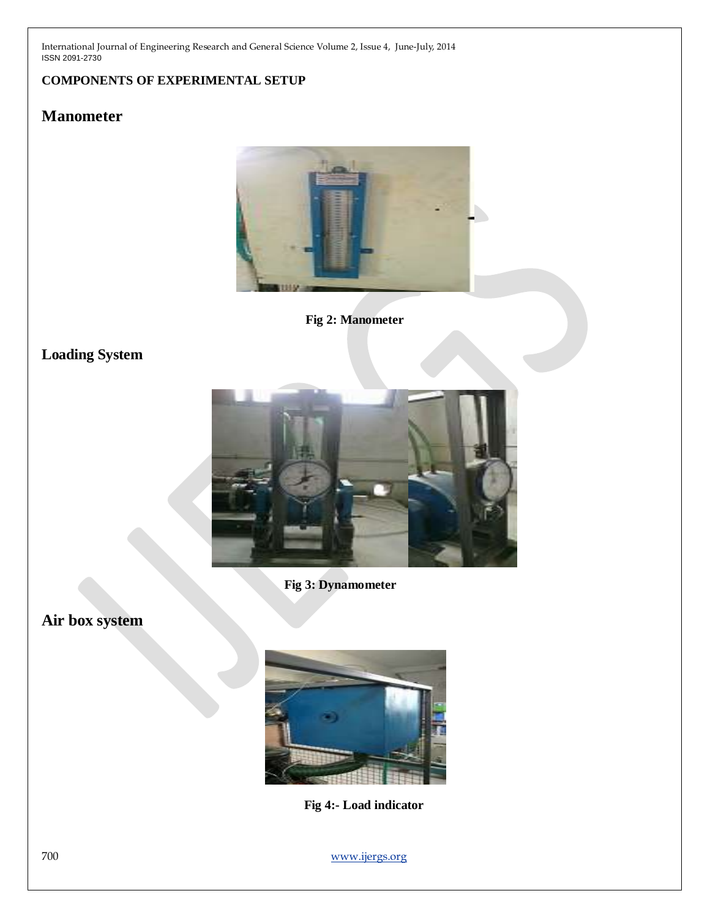## **COMPONENTS OF EXPERIMENTAL SETUP**

# **Manometer**



**Fig 2: Manometer**

# **Loading System**



**Fig 3: Dynamometer**

**Air box system**



 **Fig 4:- Load indicator**

700 [www.ijergs.org](http://www.ijergs.org/)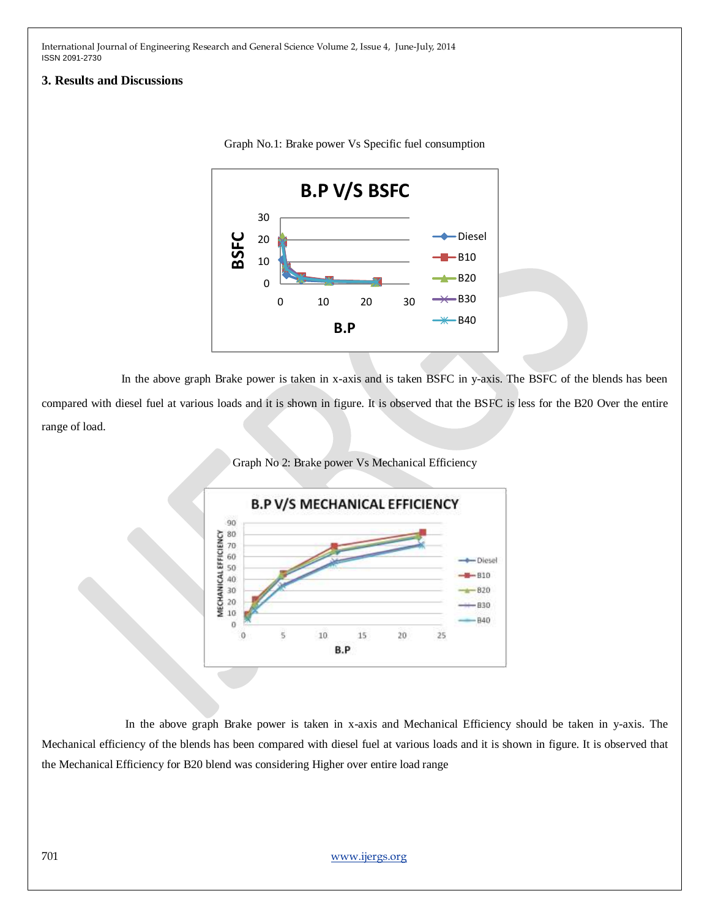#### **3. Results and Discussions**



Graph No.1: Brake power Vs Specific fuel consumption

In the above graph Brake power is taken in x-axis and is taken BSFC in y-axis. The BSFC of the blends has been

compared with diesel fuel at various loads and it is shown in figure. It is observed that the BSFC is less for the B20 Over the entire range of load.

Graph No 2: Brake power Vs Mechanical Efficiency



In the above graph Brake power is taken in x-axis and Mechanical Efficiency should be taken in y-axis. The Mechanical efficiency of the blends has been compared with diesel fuel at various loads and it is shown in figure. It is observed that the Mechanical Efficiency for B20 blend was considering Higher over entire load range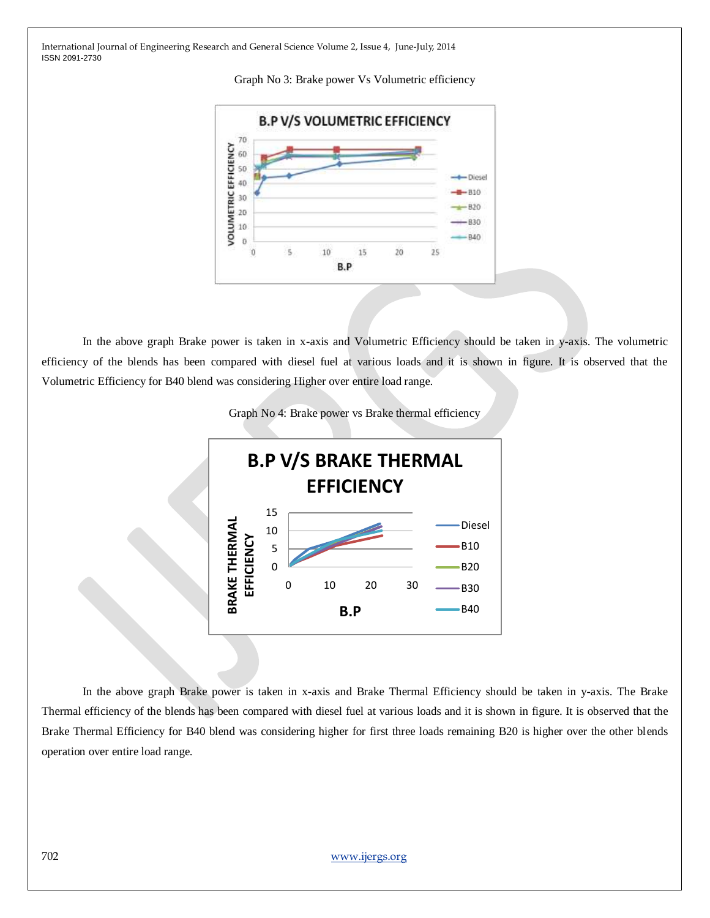



In the above graph Brake power is taken in x-axis and Volumetric Efficiency should be taken in y-axis. The volumetric efficiency of the blends has been compared with diesel fuel at various loads and it is shown in figure. It is observed that the Volumetric Efficiency for B40 blend was considering Higher over entire load range.





 In the above graph Brake power is taken in x-axis and Brake Thermal Efficiency should be taken in y-axis. The Brake Thermal efficiency of the blends has been compared with diesel fuel at various loads and it is shown in figure. It is observed that the Brake Thermal Efficiency for B40 blend was considering higher for first three loads remaining B20 is higher over the other blends operation over entire load range.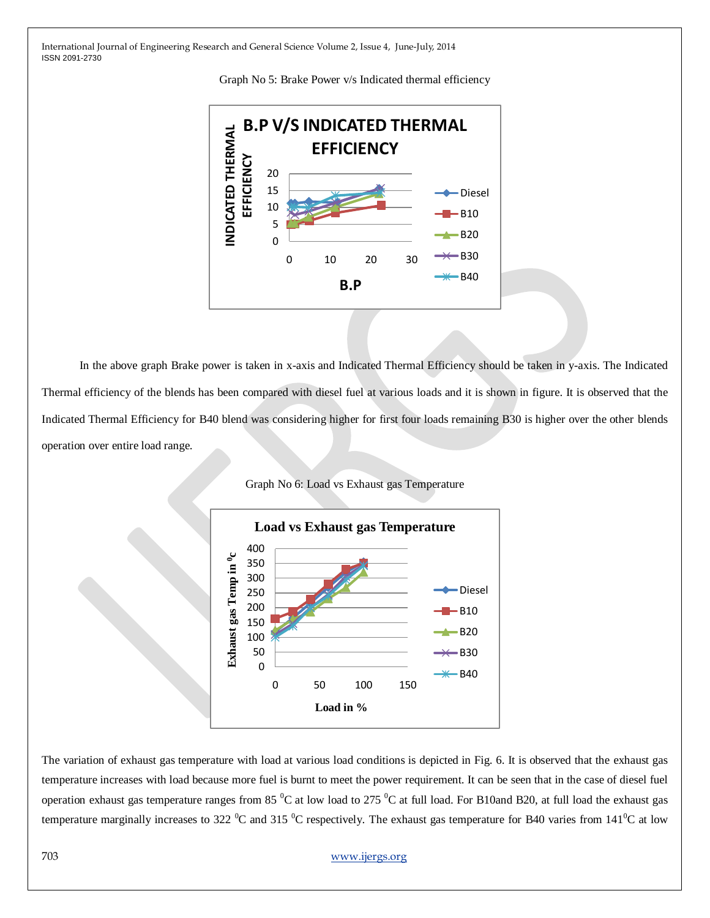



 In the above graph Brake power is taken in x-axis and Indicated Thermal Efficiency should be taken in y-axis. The Indicated Thermal efficiency of the blends has been compared with diesel fuel at various loads and it is shown in figure. It is observed that the Indicated Thermal Efficiency for B40 blend was considering higher for first four loads remaining B30 is higher over the other blends operation over entire load range.



Graph No 6: Load vs Exhaust gas Temperature

The variation of exhaust gas temperature with load at various load conditions is depicted in Fig. 6. It is observed that the exhaust gas temperature increases with load because more fuel is burnt to meet the power requirement. It can be seen that in the case of diesel fuel operation exhaust gas temperature ranges from 85  $^{\circ}$ C at low load to 275  $^{\circ}$ C at full load. For B10and B20, at full load the exhaust gas temperature marginally increases to 322  $^0C$  and 315  $^0C$  respectively. The exhaust gas temperature for B40 varies from 141<sup>0</sup>C at low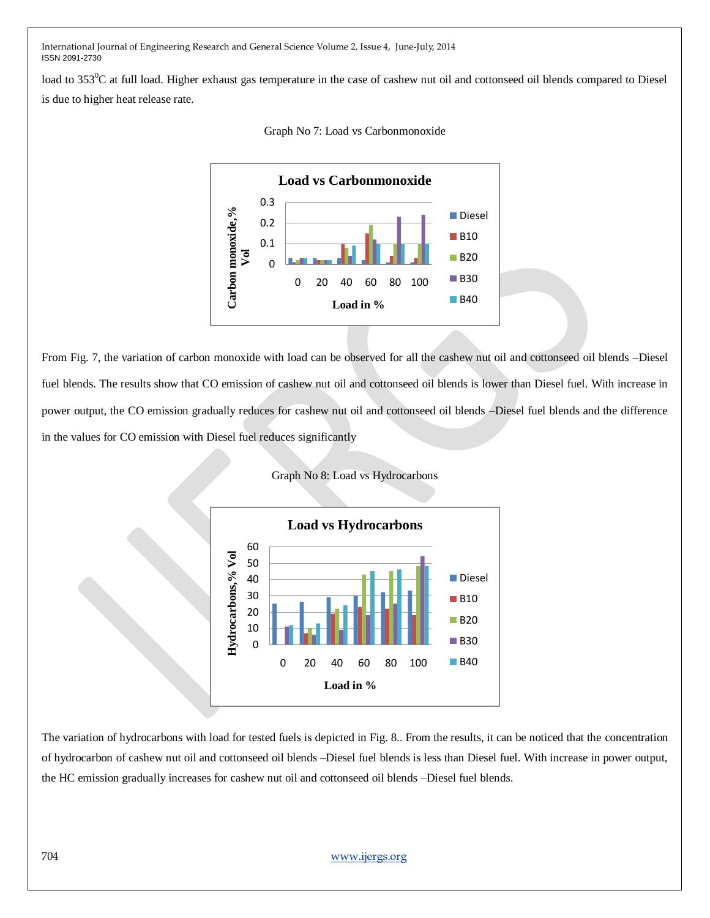load to  $353^{\circ}$ C at full load. Higher exhaust gas temperature in the case of cashew nut oil and cottonseed oil blends compared to Diesel is due to higher heat release rate.



Graph No 7: Load vs Carbonmonoxide

From Fig. 7, the variation of carbon monoxide with load can be observed for all the cashew nut oil and cottonseed oil blends –Diesel fuel blends. The results show that CO emission of cashew nut oil and cottonseed oil blends is lower than Diesel fuel. With increase in power output, the CO emission gradually reduces for cashew nut oil and cottonseed oil blends –Diesel fuel blends and the difference in the values for CO emission with Diesel fuel reduces significantly





The variation of hydrocarbons with load for tested fuels is depicted in Fig. 8.. From the results, it can be noticed that the concentration of hydrocarbon of cashew nut oil and cottonseed oil blends –Diesel fuel blends is less than Diesel fuel. With increase in power output, the HC emission gradually increases for cashew nut oil and cottonseed oil blends –Diesel fuel blends.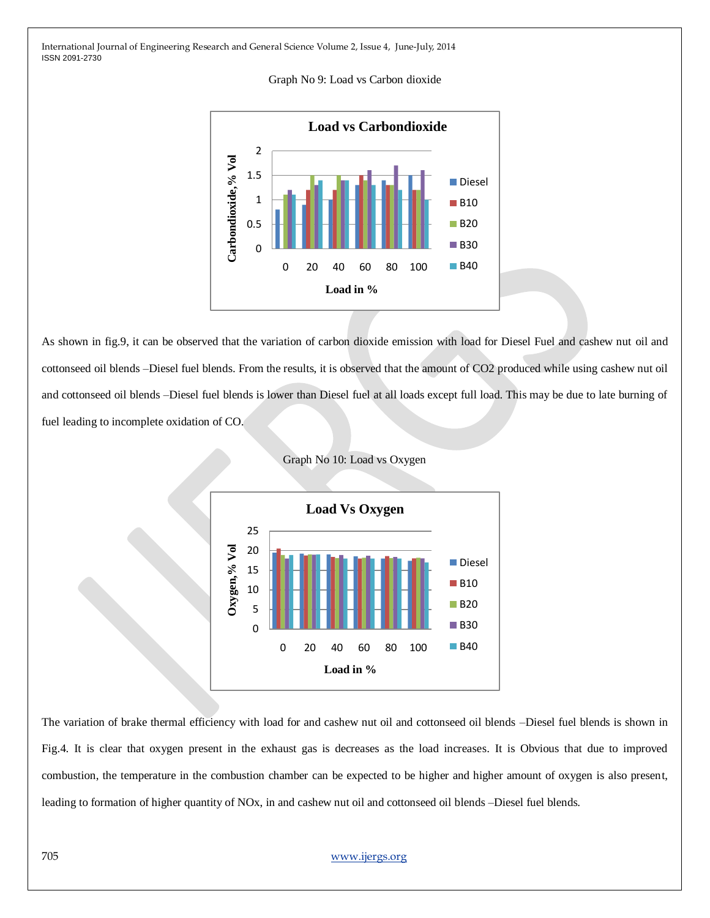



As shown in fig.9, it can be observed that the variation of carbon dioxide emission with load for Diesel Fuel and cashew nut oil and cottonseed oil blends –Diesel fuel blends. From the results, it is observed that the amount of CO2 produced while using cashew nut oil and cottonseed oil blends –Diesel fuel blends is lower than Diesel fuel at all loads except full load. This may be due to late burning of fuel leading to incomplete oxidation of CO.



Graph No 10: Load vs Oxygen

The variation of brake thermal efficiency with load for and cashew nut oil and cottonseed oil blends –Diesel fuel blends is shown in Fig.4. It is clear that oxygen present in the exhaust gas is decreases as the load increases. It is Obvious that due to improved combustion, the temperature in the combustion chamber can be expected to be higher and higher amount of oxygen is also present, leading to formation of higher quantity of NOx, in and cashew nut oil and cottonseed oil blends –Diesel fuel blends.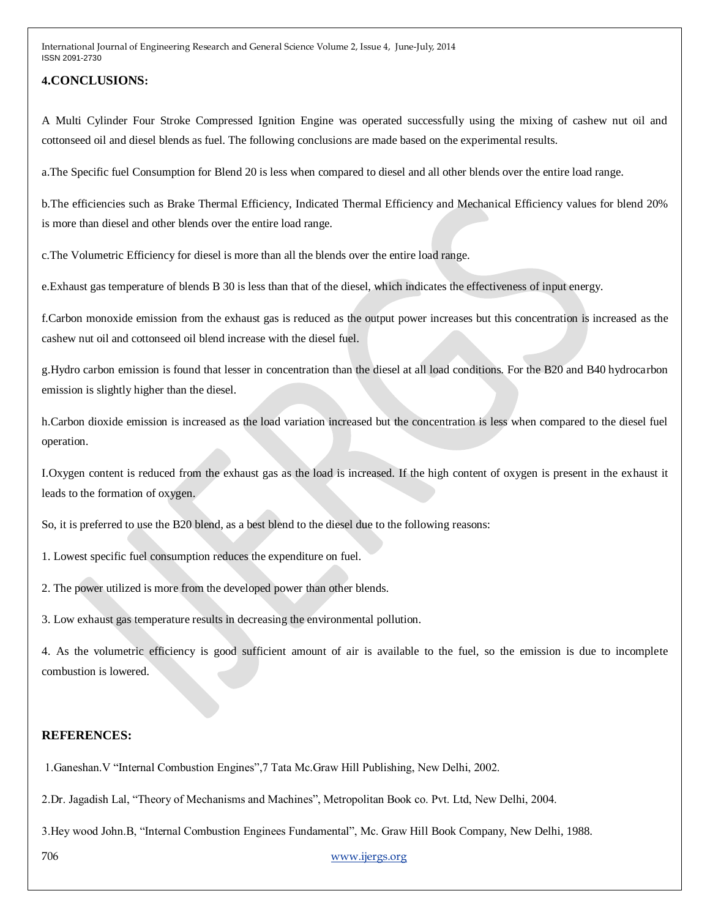### **4.CONCLUSIONS:**

A Multi Cylinder Four Stroke Compressed Ignition Engine was operated successfully using the mixing of cashew nut oil and cottonseed oil and diesel blends as fuel. The following conclusions are made based on the experimental results.

a.The Specific fuel Consumption for Blend 20 is less when compared to diesel and all other blends over the entire load range.

b.The efficiencies such as Brake Thermal Efficiency, Indicated Thermal Efficiency and Mechanical Efficiency values for blend 20% is more than diesel and other blends over the entire load range.

c.The Volumetric Efficiency for diesel is more than all the blends over the entire load range.

e.Exhaust gas temperature of blends B 30 is less than that of the diesel, which indicates the effectiveness of input energy.

f.Carbon monoxide emission from the exhaust gas is reduced as the output power increases but this concentration is increased as the cashew nut oil and cottonseed oil blend increase with the diesel fuel.

g.Hydro carbon emission is found that lesser in concentration than the diesel at all load conditions. For the B20 and B40 hydrocarbon emission is slightly higher than the diesel.

h.Carbon dioxide emission is increased as the load variation increased but the concentration is less when compared to the diesel fuel operation.

I.Oxygen content is reduced from the exhaust gas as the load is increased. If the high content of oxygen is present in the exhaust it leads to the formation of oxygen.

So, it is preferred to use the B20 blend, as a best blend to the diesel due to the following reasons:

1. Lowest specific fuel consumption reduces the expenditure on fuel.

2. The power utilized is more from the developed power than other blends.

3. Low exhaust gas temperature results in decreasing the environmental pollution.

4. As the volumetric efficiency is good sufficient amount of air is available to the fuel, so the emission is due to incomplete combustion is lowered.

### **REFERENCES:**

1.Ganeshan.V "Internal Combustion Engines",7 Tata Mc.Graw Hill Publishing, New Delhi, 2002.

2.Dr. Jagadish Lal, "Theory of Mechanisms and Machines", Metropolitan Book co. Pvt. Ltd, New Delhi, 2004.

3.Hey wood John.B, "Internal Combustion Enginees Fundamental", Mc. Graw Hill Book Company, New Delhi, 1988.

706 [www.ijergs.org](http://www.ijergs.org/)